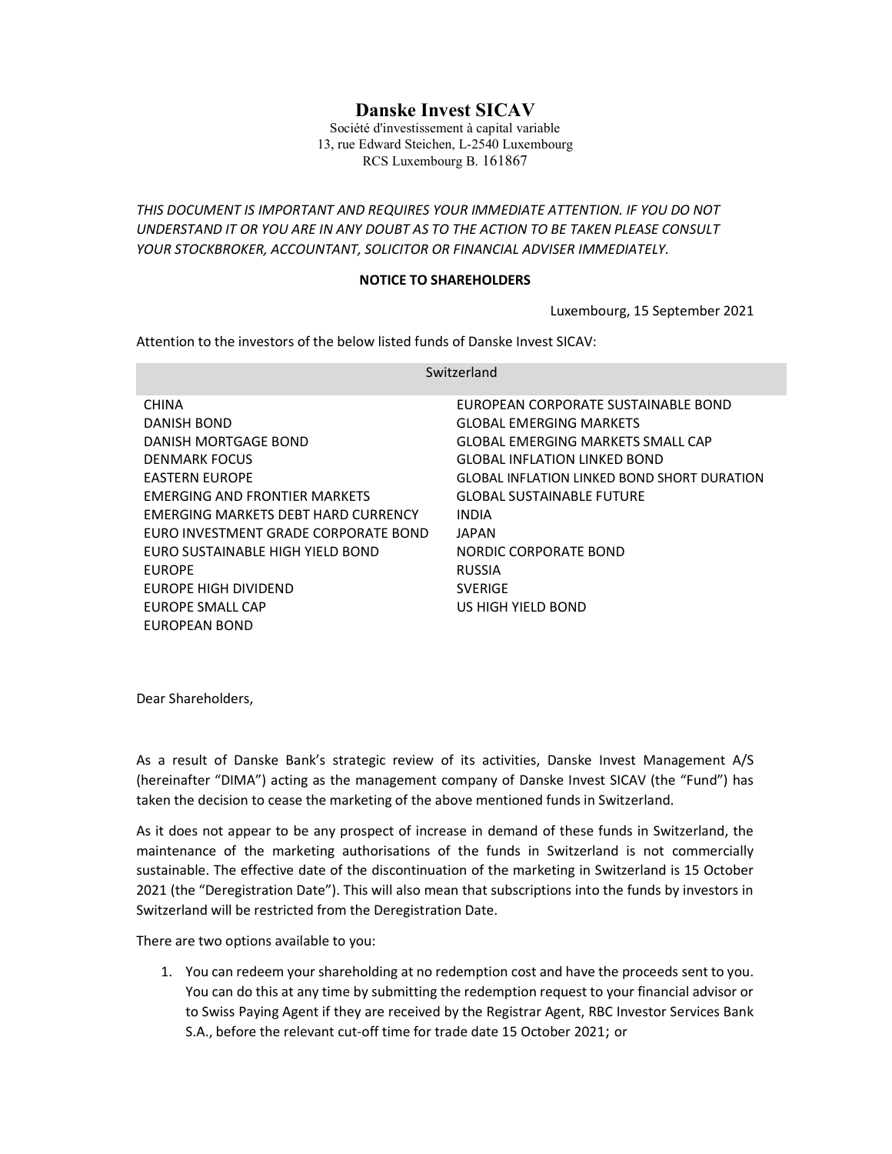# Danske Invest SICAV

Société d'investissement à capital variable 13, rue Edward Steichen, L-2540 Luxembourg RCS Luxembourg B. 161867

THIS DOCUMENT IS IMPORTANT AND REQUIRES YOUR IMMEDIATE ATTENTION. IF YOU DO NOT UNDERSTAND IT OR YOU ARE IN ANY DOUBT AS TO THE ACTION TO BE TAKEN PLEASE CONSULT YOUR STOCKBROKER, ACCOUNTANT, SOLICITOR OR FINANCIAL ADVISER IMMEDIATELY.

## NOTICE TO SHAREHOLDERS

Luxembourg, 15 September 2021

Attention to the investors of the below listed funds of Danske Invest SICAV:

| Switzerland                          |                                                    |
|--------------------------------------|----------------------------------------------------|
| <b>CHINA</b>                         | EUROPEAN CORPORATE SUSTAINABLE BOND                |
| DANISH BOND                          | GLOBAL EMERGING MARKETS                            |
| DANISH MORTGAGE BOND                 | <b>GLOBAL EMERGING MARKETS SMALL CAP</b>           |
| <b>DENMARK FOCUS</b>                 | <b>GLOBAL INFLATION LINKED BOND</b>                |
| <b>EASTERN EUROPE</b>                | <b>GLOBAL INFLATION LINKED BOND SHORT DURATION</b> |
| EMERGING AND FRONTIER MARKETS        | <b>GLOBAL SUSTAINABLE FUTURE</b>                   |
| EMERGING MARKETS DEBT HARD CURRENCY  | <b>INDIA</b>                                       |
| EURO INVESTMENT GRADE CORPORATE BOND | JAPAN                                              |
| EURO SUSTAINABLE HIGH YIELD BOND     | NORDIC CORPORATE BOND                              |
| <b>EUROPE</b>                        | <b>RUSSIA</b>                                      |
| EUROPE HIGH DIVIDEND                 | <b>SVERIGE</b>                                     |
| EUROPE SMALL CAP                     | US HIGH YIELD BOND                                 |
| EUROPEAN BOND                        |                                                    |

Dear Shareholders,

As a result of Danske Bank's strategic review of its activities, Danske Invest Management A/S (hereinafter "DIMA") acting as the management company of Danske Invest SICAV (the "Fund") has taken the decision to cease the marketing of the above mentioned funds in Switzerland.

As it does not appear to be any prospect of increase in demand of these funds in Switzerland, the maintenance of the marketing authorisations of the funds in Switzerland is not commercially sustainable. The effective date of the discontinuation of the marketing in Switzerland is 15 October 2021 (the "Deregistration Date"). This will also mean that subscriptions into the funds by investors in Switzerland will be restricted from the Deregistration Date.

There are two options available to you:

1. You can redeem your shareholding at no redemption cost and have the proceeds sent to you. You can do this at any time by submitting the redemption request to your financial advisor or to Swiss Paying Agent if they are received by the Registrar Agent, RBC Investor Services Bank S.A., before the relevant cut-off time for trade date 15 October 2021; or